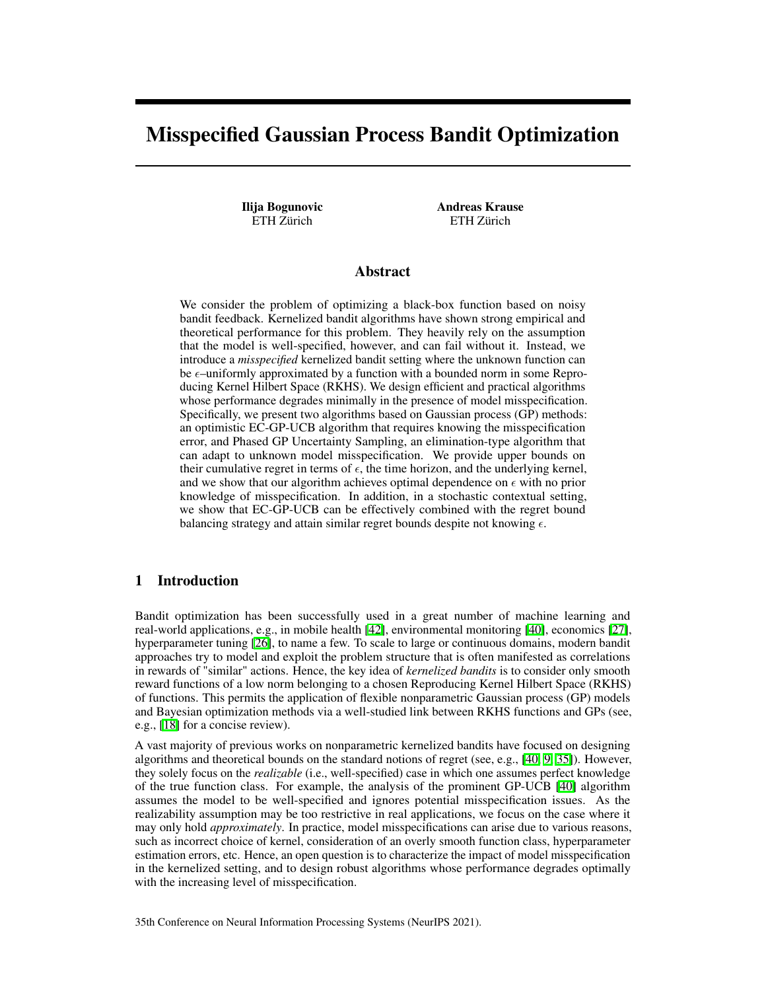# <span id="page-0-5"></span><span id="page-0-1"></span>Misspecified Gaussian Process Bandit Optimization

Ilija Bogunovic ETH Zürich

Andreas Krause ETH Zürich

# Abstract

<span id="page-0-2"></span>We consider the problem of optimizing a black-box function based on noisy bandit feedback. Kernelized bandit algorithms have shown strong empirical and theoretical performance for this problem. They heavily rely on the assumption that the model is well-specified, however, and can fail without it. Instead, we introduce a *misspecified* kernelized bandit setting where the unknown function can be  $\epsilon$ –uniformly approximated by a function with a bounded norm in some Reproducing Kernel Hilbert Space (RKHS). We design efficient and practical algorithms whose performance degrades minimally in the presence of model misspecification. Specifically, we present two algorithms based on Gaussian process (GP) methods: an optimistic EC-GP-UCB algorithm that requires knowing the misspecification error, and Phased GP Uncertainty Sampling, an elimination-type algorithm that can adapt to unknown model misspecification. We provide upper bounds on their cumulative regret in terms of  $\epsilon$ , the time horizon, and the underlying kernel, and we show that our algorithm achieves optimal dependence on  $\epsilon$  with no prior knowledge of misspecification. In addition, in a stochastic contextual setting, we show that EC-GP-UCB can be effectively combined with the regret bound balancing strategy and attain similar regret bounds despite not knowing  $\epsilon$ .

# <span id="page-0-4"></span>1 Introduction

<span id="page-0-3"></span>Bandit optimization has been successfully used in a great number of machine learning and real-world applications, e.g., in mobile health  $[42]$ , environmental monitoring  $[40]$ , economics  $[27]$ , hyperparameter tuning [\[26\]](#page-10-1), to name a few. To scale to large or continuous domains, modern bandit approaches try to model and exploit the problem structure that is often manifested as correlations in rewards of "similar" actions. Hence, the key idea of *kernelized bandits* is to consider only smooth reward functions of a low norm belonging to a chosen Reproducing Kernel Hilbert Space (RKHS) of functions. This permits the application of flexible nonparametric Gaussian process (GP) models and Bayesian optimization methods via a well-studied link between RKHS functions and GPs (see, e.g., [\[18\]](#page-10-2) for a concise review).

A vast majority of previous works on nonparametric kernelized bandits have focused on designing algorithms and theoretical bounds on the standard notions of regret (see, e.g.,  $[40, 9, 35]$  $[40, 9, 35]$  $[40, 9, 35]$  $[40, 9, 35]$  $[40, 9, 35]$ ). However, they solely focus on the *realizable* (i.e., well-specified) case in which one assumes perfect knowledge of the true function class. For example, the analysis of the prominent GP-UCB  $[40]$  algorithm assumes the model to be well-specified and ignores potential misspecification issues. As the realizability assumption may be too restrictive in real applications, we focus on the case where it may only hold *approximately*. In practice, model misspecifications can arise due to various reasons, such as incorrect choice of kernel, consideration of an overly smooth function class, hyperparameter estimation errors, etc. Hence, an open question is to characterize the impact of model misspecification in the kernelized setting, and to design robust algorithms whose performance degrades optimally with the increasing level of misspecification.

<span id="page-0-0"></span>35th Conference on Neural Information Processing Systems (NeurIPS 2021).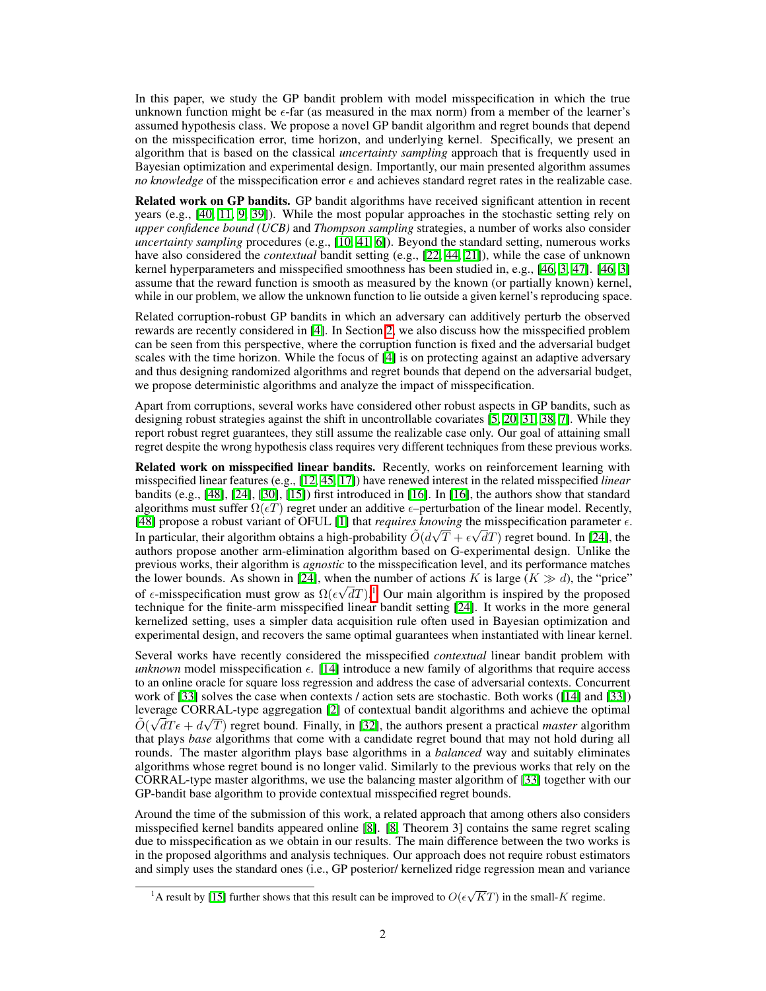In this paper, we study the GP bandit problem with model misspecification in which the true unknown function might be  $\epsilon$ -far (as measured in the max norm) from a member of the learner's assumed hypothesis class. We propose a novel GP bandit algorithm and regret bounds that depend on the misspecification error, time horizon, and underlying kernel. Specifically, we present an algorithm that is based on the classical *uncertainty sampling* approach that is frequently used in Bayesian optimization and experimental design. Importantly, our main presented algorithm assumes *no knowledge* of the misspecification error  $\epsilon$  and achieves standard regret rates in the realizable case.

Related work on GP bandits. GP bandit algorithms have received significant attention in recent years (e.g.,  $[40, 11, 9, 39]$  $[40, 11, 9, 39]$  $[40, 11, 9, 39]$  $[40, 11, 9, 39]$  $[40, 11, 9, 39]$  $[40, 11, 9, 39]$  $[40, 11, 9, 39]$ ). While the most popular approaches in the stochastic setting rely on *upper confidence bound (UCB)* and *Thompson sampling* strategies, a number of works also consider *uncertainty sampling* procedures (e.g., [\[10,](#page-9-2) [41,](#page-11-3) [6\]](#page-9-3)). Beyond the standard setting, numerous works have also considered the *contextual* bandit setting (e.g., [\[22,](#page-10-4) [44,](#page-11-4) [21\]](#page-10-5)), while the case of unknown kernel hyperparameters and misspecified smoothness has been studied in, e.g.,  $[46, 3, 47]$  $[46, 3, 47]$  $[46, 3, 47]$  $[46, 3, 47]$  $[46, 3, 47]$ .  $[46, 3]$  $[46, 3]$ assume that the reward function is smooth as measured by the known (or partially known) kernel, while in our problem, we allow the unknown function to lie outside a given kernel's reproducing space.

Related corruption-robust GP bandits in which an adversary can additively perturb the observed rewards are recently considered in  $[4]$ . In Section  $[2]$ , we also discuss how the misspecified problem can be seen from this perspective, where the corruption function is fixed and the adversarial budget scales with the time horizon. While the focus of  $[4]$  is on protecting against an adaptive adversary and thus designing randomized algorithms and regret bounds that depend on the adversarial budget, we propose deterministic algorithms and analyze the impact of misspecification.

Apart from corruptions, several works have considered other robust aspects in GP bandits, such as designing robust strategies against the shift in uncontrollable covariates  $\left[5, 20, 31, 38, 7\right]$  $\left[5, 20, 31, 38, 7\right]$  $\left[5, 20, 31, 38, 7\right]$  $\left[5, 20, 31, 38, 7\right]$  $\left[5, 20, 31, 38, 7\right]$  $\left[5, 20, 31, 38, 7\right]$  $\left[5, 20, 31, 38, 7\right]$  $\left[5, 20, 31, 38, 7\right]$  $\left[5, 20, 31, 38, 7\right]$ . While they report robust regret guarantees, they still assume the realizable case only. Our goal of attaining small regret despite the wrong hypothesis class requires very different techniques from these previous works.

Related work on misspecified linear bandits. Recently, works on reinforcement learning with misspecified linear features (e.g., [\[12,](#page-9-8) [45,](#page-11-8) [17\]](#page-10-8)) have renewed interest in the related misspecified *linear* bandits (e.g.,  $[48]$ ,  $[24]$ ,  $[30]$ ,  $[15]$ ) first introduced in  $[16]$ . In  $[16]$ , the authors show that standard algorithms must suffer  $\Omega(\epsilon T)$  regret under an additive  $\epsilon$ –perturbation of the linear model. Recently, [\[48\]](#page-11-9) propose a robust variant of OFUL [\[1\]](#page-9-9) that *requires knowing* the misspecification parameter  $\epsilon$ . In particular, their algorithm obtains a high-probability  $\tilde{O}(d\sqrt{T} + \epsilon \sqrt{dT})$  regret bound. In [\[24\]](#page-10-9), the authors propose another arm-elimination algorithm based on G-experimental design. Unlike the previous works, their algorithm is *agnostic* to the misspecification level, and its performance matches the lower bounds. As shown in [\[24\]](#page-10-9), when the number of actions *K* is large ( $K \gg d$ ), the "price" of  $\epsilon$ -misspecification must grow as  $\Omega(\epsilon\sqrt{d}T)\sqrt{I}$  Our main algorithm is inspired by the proposed technique for the finite-arm misspecified linear bandit setting  $[24]$ . It works in the more general kernelized setting, uses a simpler data acquisition rule often used in Bayesian optimization and experimental design, and recovers the same optimal guarantees when instantiated with linear kernel.

Several works have recently considered the misspecified *contextual* linear bandit problem with *unknown* model misspecification  $\epsilon$ . [\[14\]](#page-9-10) introduce a new family of algorithms that require access to an online oracle for square loss regression and address the case of adversarial contexts. Concurrent work of  $\left|\overline{33}\right|$  solves the case when contexts / action sets are stochastic. Both works  $\left(\left|\overline{14}\right|$  and  $\left|\overline{33}\right|\right)$ leverage CORRAL-type aggregation  $\sqrt{2}$  of contextual bandit algorithms and achieve the optimal  $\tilde{O}(\sqrt{d}T\epsilon + d\sqrt{T})$  regret bound. Finally, in [\[32\]](#page-10-14), the authors present a practical *master* algorithm that plays *base* algorithms that come with a candidate regret bound that may not hold during all rounds. The master algorithm plays base algorithms in a *balanced* way and suitably eliminates algorithms whose regret bound is no longer valid. Similarly to the previous works that rely on the CORRAL-type master algorithms, we use the balancing master algorithm of  $\left[33\right]$  together with our GP-bandit base algorithm to provide contextual misspecified regret bounds.

Around the time of the submission of this work, a related approach that among others also considers misspecified kernel bandits appeared online  $\begin{bmatrix} 8 \\ 0 \end{bmatrix}$ .  $\begin{bmatrix} 8 \\ 0 \end{bmatrix}$ . Theorem 3] contains the same regret scaling due to misspecification as we obtain in our results. The main difference between the two works is in the proposed algorithms and analysis techniques. Our approach does not require robust estimators and simply uses the standard ones (i.e., GP posterior/ kernelized ridge regression mean and variance

<sup>&</sup>lt;sup>1</sup>A result by [**15**] further shows that this result can be improved to  $O(\epsilon \sqrt{KT})$  in the small-*K* regime.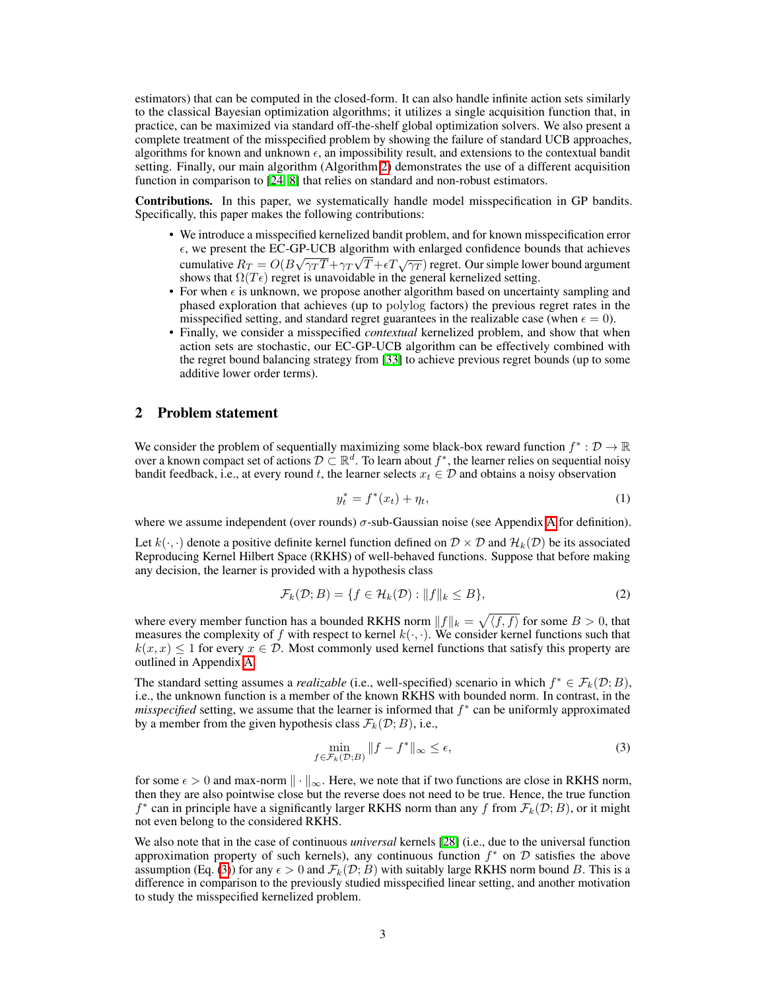estimators) that can be computed in the closed-form. It can also handle infinite action sets similarly to the classical Bayesian optimization algorithms; it utilizes a single acquisition function that, in practice, can be maximized via standard off-the-shelf global optimization solvers. We also present a complete treatment of the misspecified problem by showing the failure of standard UCB approaches, algorithms for known and unknown  $\epsilon$ , an impossibility result, and extensions to the contextual bandit setting. Finally, our main algorithm (Algorithm  $\overline{2}$ ) demonstrates the use of a different acquisition function in comparison to  $[24, 8]$  $[24, 8]$  that relies on standard and non-robust estimators.

Contributions. In this paper, we systematically handle model misspecification in GP bandits. Specifically, this paper makes the following contributions:

- We introduce a misspecified kernelized bandit problem, and for known misspecification error  $\epsilon$ , we present the EC-GP-UCB algorithm with enlarged confidence bounds that achieves cumulative  $R_T = O(B\sqrt{\gamma_T T} + \gamma_T \sqrt{T} + \epsilon T \sqrt{\gamma_T})$  regret. Our simple lower bound argument shows that  $\Omega(T\epsilon)$  regret is unavoidable in the general kernelized setting.
- For when  $\epsilon$  is unknown, we propose another algorithm based on uncertainty sampling and phased exploration that achieves (up to polylog factors) the previous regret rates in the misspecified setting, and standard regret guarantees in the realizable case (when  $\epsilon = 0$ ).
- Finally, we consider a misspecified *contextual* kernelized problem, and show that when action sets are stochastic, our EC-GP-UCB algorithm can be effectively combined with the regret bound balancing strategy from [\[33\]](#page-10-13) to achieve previous regret bounds (up to some additive lower order terms).

# <span id="page-2-0"></span>2 Problem statement

We consider the problem of sequentially maximizing some black-box reward function  $f^* : \mathcal{D} \to \mathbb{R}$ over a known compact set of actions  $D \subset \mathbb{R}^d$ . To learn about  $f^*$ , the learner relies on sequential noisy bandit feedback, i.e., at every round *t*, the learner selects  $x_t \in \mathcal{D}$  and obtains a noisy observation

<span id="page-2-2"></span>
$$
y_t^* = f^*(x_t) + \eta_t,\tag{1}
$$

where we assume independent (over rounds)  $\sigma$ -sub-Gaussian noise (see [A](#page-0-1)ppendix  $\overline{A}$  for definition).

Let  $k(\cdot, \cdot)$  denote a positive definite kernel function defined on  $\mathcal{D} \times \mathcal{D}$  and  $\mathcal{H}_k(\mathcal{D})$  be its associated Reproducing Kernel Hilbert Space (RKHS) of well-behaved functions. Suppose that before making any decision, the learner is provided with a hypothesis class

$$
\mathcal{F}_k(\mathcal{D};B) = \{ f \in \mathcal{H}_k(\mathcal{D}) : ||f||_k \le B \},\tag{2}
$$

where every member function has a bounded RKHS norm  $||f||_k = \sqrt{\langle f, f \rangle}$  for some  $B > 0$ , that measures the complexity of f with respect to kernel  $k(\cdot, \cdot)$ . We consider kernel functions such that  $k(x, x) \leq 1$  for every  $x \in \mathcal{D}$ . Most commonly used kernel functions that satisfy this property are outlined in Appendix [A.](#page-0-1)

The standard setting assumes a *realizable* (i.e., well-specified) scenario in which  $f^* \in \mathcal{F}_k(\mathcal{D}; B)$ , i.e., the unknown function is a member of the known RKHS with bounded norm. In contrast, in the *misspecified* setting, we assume that the learner is informed that  $f^*$  can be uniformly approximated by a member from the given hypothesis class  $\mathcal{F}_k(\mathcal{D}; B)$ , i.e.,

<span id="page-2-1"></span>
$$
\min_{f \in \mathcal{F}_k(\mathcal{D};B)} \|f - f^*\|_{\infty} \le \epsilon,\tag{3}
$$

for some  $\epsilon > 0$  and max-norm  $\|\cdot\|_{\infty}$ . Here, we note that if two functions are close in RKHS norm, then they are also pointwise close but the reverse does not need to be true. Hence, the true function  $f^*$  can in principle have a significantly larger RKHS norm than any  $f$  from  $\mathcal{F}_k(\mathcal{D}; B)$ , or it might not even belong to the considered RKHS.

We also note that in the case of continuous *universal* kernels [\[28\]](#page-10-15) (i.e., due to the universal function approximation property of such kernels), any continuous function  $f^*$  on  $D$  satisfies the above assumption (Eq.  $(\overline{3})$ ) for any  $\epsilon > 0$  and  $\mathcal{F}_k(\mathcal{D}; B)$  with suitably large RKHS norm bound *B*. This is a difference in comparison to the previously studied misspecified linear setting, and another motivation to study the misspecified kernelized problem.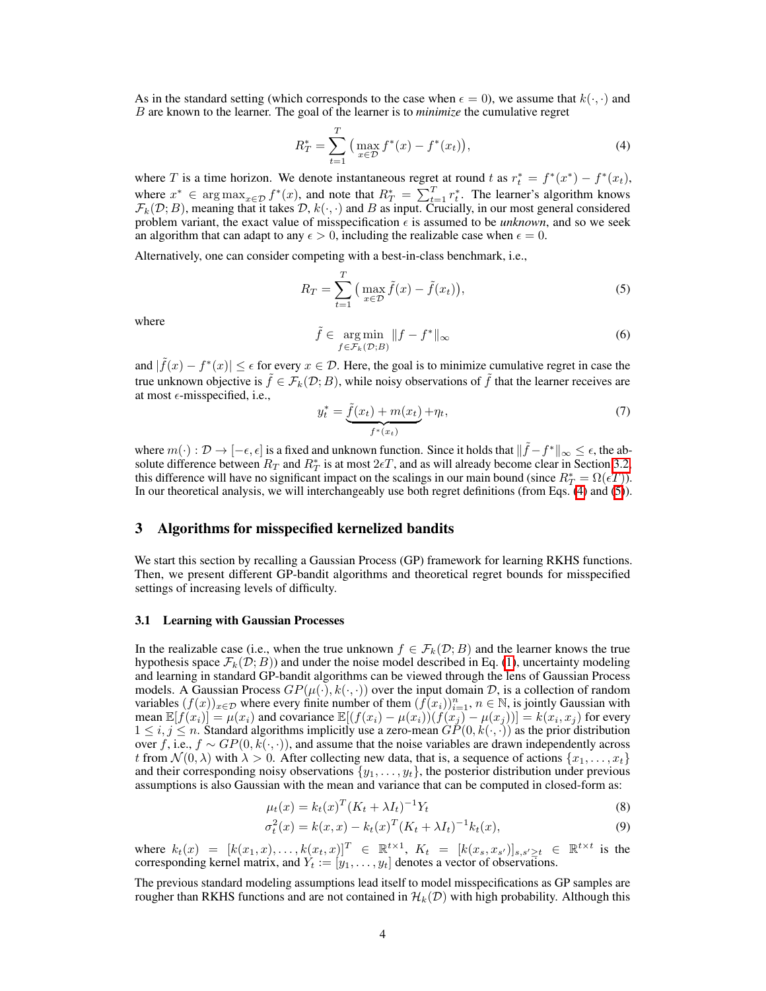As in the standard setting (which corresponds to the case when  $\epsilon = 0$ ), we assume that  $k(\cdot, \cdot)$  and *B* are known to the learner. The goal of the learner is to *minimize* the cumulative regret

<span id="page-3-0"></span>
$$
R_T^* = \sum_{t=1}^T \left( \max_{x \in \mathcal{D}} f^*(x) - f^*(x_t) \right),\tag{4}
$$

where *T* is a time horizon. We denote instantaneous regret at round *t* as  $r_t^* = f^*(x^*) - f^*(x_t)$ , where  $x^* \in \arg \max_{x \in \mathcal{D}} f^*(x)$ , and note that  $R^* = \sum_{t=1}^T r_t^*$ . The learner's algorithm knows  $\mathcal{F}_k(\mathcal{D};B)$ , meaning that it takes  $\mathcal{D}, k(\cdot, \cdot)$  and  $B$  as input. Crucially, in our most general considered problem variant, the exact value of misspecification  $\epsilon$  is assumed to be *unknown*, and so we seek an algorithm that can adapt to any  $\epsilon > 0$ , including the realizable case when  $\epsilon = 0$ .

Alternatively, one can consider competing with a best-in-class benchmark, i.e.,

<span id="page-3-1"></span>
$$
R_T = \sum_{t=1}^T \left( \max_{x \in \mathcal{D}} \tilde{f}(x) - \tilde{f}(x_t) \right),\tag{5}
$$

where 
$$
\tilde{f} \in \underset{f \in \mathcal{F}_k(\mathcal{D};B)}{\arg \min} ||f - f^*||_{\infty}
$$
 (6)

and  $|f(x) - f^{*}(x)| \leq \epsilon$  for every  $x \in \mathcal{D}$ . Here, the goal is to minimize cumulative regret in case the true unknown objective is  $\tilde{f} \in \mathcal{F}_k(\mathcal{D};B)$ , while noisy observations of  $\tilde{f}$  that the learner receives are at most  $\epsilon$ -misspecified, i.e.,

$$
y_t^* = \underbrace{\tilde{f}(x_t) + m(x_t)}_{f^*(x_t)} + \eta_t,\tag{7}
$$

where  $m(\cdot): \mathcal{D} \to [-\epsilon, \epsilon]$  is a fixed and unknown function. Since it holds that  $\|\hat{f} - f^*\|_{\infty} \leq \epsilon$ , the absolute difference between  $R_T$  and  $R_T^*$  is at most  $2\nepsilon T$ , and as will already become clear in Section [3.2,](#page-4-0) this difference will have no significant impact on the scalings in our main bound (since  $R^*_T = \Omega(\epsilon \overline{T})$ ). In our theoretical analysis, we will interchangeably use both regret definitions (from Eqs.  $(\overline{4})$  and  $(\overline{5})$ ).

### 3 Algorithms for misspecified kernelized bandits

We start this section by recalling a Gaussian Process (GP) framework for learning RKHS functions. Then, we present different GP-bandit algorithms and theoretical regret bounds for misspecified settings of increasing levels of difficulty.

#### 3.1 Learning with Gaussian Processes

In the realizable case (i.e., when the true unknown  $f \in \mathcal{F}_k(\mathcal{D};B)$  and the learner knows the true hypothesis space  $\mathcal{F}_k(\mathcal{D}; B)$  and under the noise model described in Eq. [\(1\)](#page-2-2), uncertainty modeling and learning in standard GP-bandit algorithms can be viewed through the lens of Gaussian Process models. A Gaussian Process  $GP(\mu(\cdot), k(\cdot, \cdot))$  over the input domain *D*, is a collection of random variables  $(f(x))_{x\in\mathcal{D}}$  where every finite number of them  $(f(x_i))_{i=1}^n$ ,  $n \in \mathbb{N}$ , is jointly Gaussian with mean  $\mathbb{E}[f(x_i)] = \mu(x_i)$  and covariance  $\mathbb{E}[(f(x_i) - \mu(x_i))(f(x_j) - \mu(x_j))] = k(x_i, x_j)$  for every  $1 \leq i, j \leq n$ . Standard algorithms implicitly use a zero-mean  $GP(0, k(\cdot, \cdot))$  as the prior distribution over *f*, i.e.,  $f \sim GP(0, k(\cdot, \cdot))$ , and assume that the noise variables are drawn independently across *t* from  $\mathcal{N}(0, \lambda)$  with  $\lambda > 0$ . After collecting new data, that is, a sequence of actions  $\{x_1, \ldots, x_t\}$ and their corresponding noisy observations  $\{y_1, \ldots, y_t\}$ , the posterior distribution under previous assumptions is also Gaussian with the mean and variance that can be computed in closed-form as:

<span id="page-3-3"></span><span id="page-3-2"></span>
$$
\mu_t(x) = k_t(x)^T (K_t + \lambda I_t)^{-1} Y_t \tag{8}
$$

$$
\sigma_t^2(x) = k(x, x) - k_t(x)^T (K_t + \lambda I_t)^{-1} k_t(x), \tag{9}
$$

where  $k_t(x) = [k(x_1, x), \dots, k(x_t, x)]^T \in \mathbb{R}^{t \times 1}$ ,  $K_t = [k(x_s, x_{s'})]_{s, s' \ge t} \in \mathbb{R}^{t \times t}$  is the corresponding kernel matrix, and  $Y_t := [y_1, \ldots, y_t]$  denotes a vector of observations.

The previous standard modeling assumptions lead itself to model misspecifications as GP samples are rougher than RKHS functions and are not contained in  $\mathcal{H}_k(\mathcal{D})$  with high probability. Although this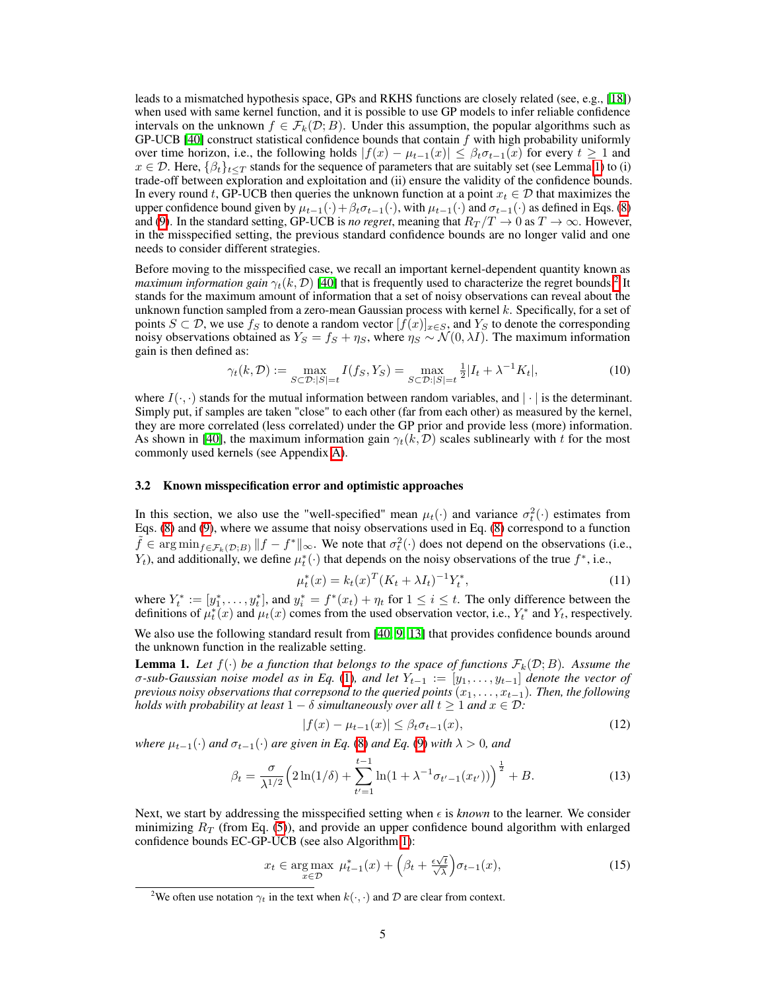leads to a mismatched hypothesis space, GPs and RKHS functions are closely related (see, e.g.,  $[18]$ ) when used with same kernel function, and it is possible to use GP models to infer reliable confidence intervals on the unknown  $f \in \mathcal{F}_k(\mathcal{D}; B)$ . Under this assumption, the popular algorithms such as GP-UCB [\[40\]](#page-11-1) construct statistical confidence bounds that contain *f* with high probability uniformly over time horizon, i.e., the following holds  $|f(x) - \mu_{t-1}(x)| \leq \beta_t \sigma_{t-1}(x)$  for every  $t \geq 1$  and  $x \in \mathcal{D}$ . Here,  $\{\beta_t\}_{t \leq T}$  stands for the sequence of parameters that are suitably set (see Lemma [1\)](#page-4-1) to (i) trade-off between exploration and exploitation and (ii) ensure the validity of the confidence bounds. In every round *t*, GP-UCB then queries the unknown function at a point  $x_t \in \mathcal{D}$  that maximizes the upper confidence bound given by  $\mu_{t-1}(\cdot) + \beta_t \sigma_{t-1}(\cdot)$ , with  $\mu_{t-1}(\cdot)$  and  $\sigma_{t-1}(\cdot)$  as defined in Eqs. [\(8\)](#page-3-2) and  $\overline{P}$ . In the standard setting, GP-UCB is *no regret*, meaning that  $R_T/T \to 0$  as  $T \to \infty$ . However, in the misspecified setting, the previous standard confidence bounds are no longer valid and one needs to consider different strategies.

Before moving to the misspecified case, we recall an important kernel-dependent quantity known as *maximum information gain*  $\gamma_t(k, \mathcal{D})$  [\[40\]](#page-11-1) that is frequently used to characterize the regret bounds.<sup>2</sup> It stands for the maximum amount of information that a set of noisy observations can reveal about the unknown function sampled from a zero-mean Gaussian process with kernel *k*. Specifically, for a set of points  $S \subset \mathcal{D}$ , we use  $f_S$  to denote a random vector  $[f(x)]_{x \in S}$ , and  $Y_S$  to denote the corresponding noisy observations obtained as  $Y_s = f_s + \eta_s$ , where  $\eta_s \sim \mathcal{N}(0, \lambda I)$ . The maximum information gain is then defined as:

$$
\gamma_t(k,\mathcal{D}) := \max_{S \subset \mathcal{D}:|S|=t} I(f_S, Y_S) = \max_{S \subset \mathcal{D}:|S|=t} \frac{1}{2} |I_t + \lambda^{-1} K_t|,
$$
\n(10)

where  $I(\cdot, \cdot)$  stands for the mutual information between random variables, and  $|\cdot|$  is the determinant. Simply put, if samples are taken "close" to each other (far from each other) as measured by the kernel, they are more correlated (less correlated) under the GP prior and provide less (more) information. As shown in [\[40\]](#page-11-1), the maximum information gain  $\gamma_t(k, \mathcal{D})$  scales sublinearly with t for the most commonly used kernels (see Appendix  $\overline{A}$ ).

#### <span id="page-4-0"></span>3.2 Known misspecification error and optimistic approaches

In this section, we also use the "well-specified" mean  $\mu_t(\cdot)$  and variance  $\sigma_t^2(\cdot)$  estimates from Eqs.  $(8)$  and  $(9)$ , where we assume that noisy observations used in Eq.  $(8)$  correspond to a function  $\tilde{f} \in \argmin_{f \in \mathcal{F}_k(\mathcal{D};B)} \|f - f^*\|_{\infty}$ . We note that  $\sigma_t^2(\cdot)$  does not depend on the observations (i.e., *Y*<sub>t</sub>), and additionally, we define  $\mu_t^*(\cdot)$  that depends on the noisy observations of the true  $f^*$ , i.e.,

<span id="page-4-5"></span><span id="page-4-3"></span>
$$
\mu_t^*(x) = k_t(x)^T (K_t + \lambda I_t)^{-1} Y_t^*,\tag{11}
$$

where  $Y_t^* := [y_1^*, \ldots, y_t^*]$ , and  $y_i^* = f^*(x_t) + \eta_t$  for  $1 \le i \le t$ . The only difference between the definitions of  $\mu_t^*(x)$  and  $\mu_t(x)$  comes from the used observation vector, i.e.,  $Y_t^*$  and  $Y_t$ , respectively.

We also use the following standard result from  $[40, 9, 13]$  $[40, 9, 13]$  $[40, 9, 13]$  $[40, 9, 13]$  $[40, 9, 13]$  that provides confidence bounds around the unknown function in the realizable setting.

<span id="page-4-1"></span>**Lemma 1.** Let  $f(\cdot)$  be a function that belongs to the space of functions  $\mathcal{F}_k(\mathcal{D};B)$ . Assume the  $\sigma$ -sub-Gaussian noise model as in Eq.  $(\Pi)$ , and let  $Y_{t-1} := [y_1, \ldots, y_{t-1}]$  denote the vector of *previous noisy observations that correpsond to the queried points*  $(x_1, \ldots, x_{t-1})$ *. Then, the following holds with probability at least*  $1 - \delta$  *simultaneously over all*  $t \ge 1$  *and*  $x \in \mathcal{D}$ *:* 

$$
|f(x) - \mu_{t-1}(x)| \le \beta_t \sigma_{t-1}(x),
$$
\n(12)

*where*  $\mu_{t-1}(\cdot)$  *and*  $\sigma_{t-1}(\cdot)$  *are given in Eq.* [\(8\)](#page-3-2) *and Eq.* [\(9\)](#page-3-3) *with*  $\lambda > 0$ *, and* 

$$
\beta_t = \frac{\sigma}{\lambda^{1/2}} \Big( 2\ln(1/\delta) + \sum_{t'=1}^{t-1} \ln(1 + \lambda^{-1} \sigma_{t'-1}(x_{t'})) \Big)^{\frac{1}{2}} + B. \tag{13}
$$

Next, we start by addressing the misspecified setting when  $\epsilon$  is *known* to the learner. We consider minimizing  $R_T$  (from Eq. [\(5\)](#page-3-1)), and provide an upper confidence bound algorithm with enlarged confidence bounds  $EC$ -GP-UCB (see also Algorithm  $\boxed{1}$ ):

<span id="page-4-4"></span>
$$
x_t \in \underset{x \in \mathcal{D}}{\text{arg max}} \ \mu_{t-1}^*(x) + \left(\beta_t + \frac{\epsilon \sqrt{t}}{\sqrt{\lambda}}\right) \sigma_{t-1}(x),\tag{15}
$$

<span id="page-4-2"></span><sup>&</sup>lt;sup>2</sup>We often use notation  $\gamma_t$  in the text when  $k(\cdot, \cdot)$  and  $\mathcal{D}$  are clear from context.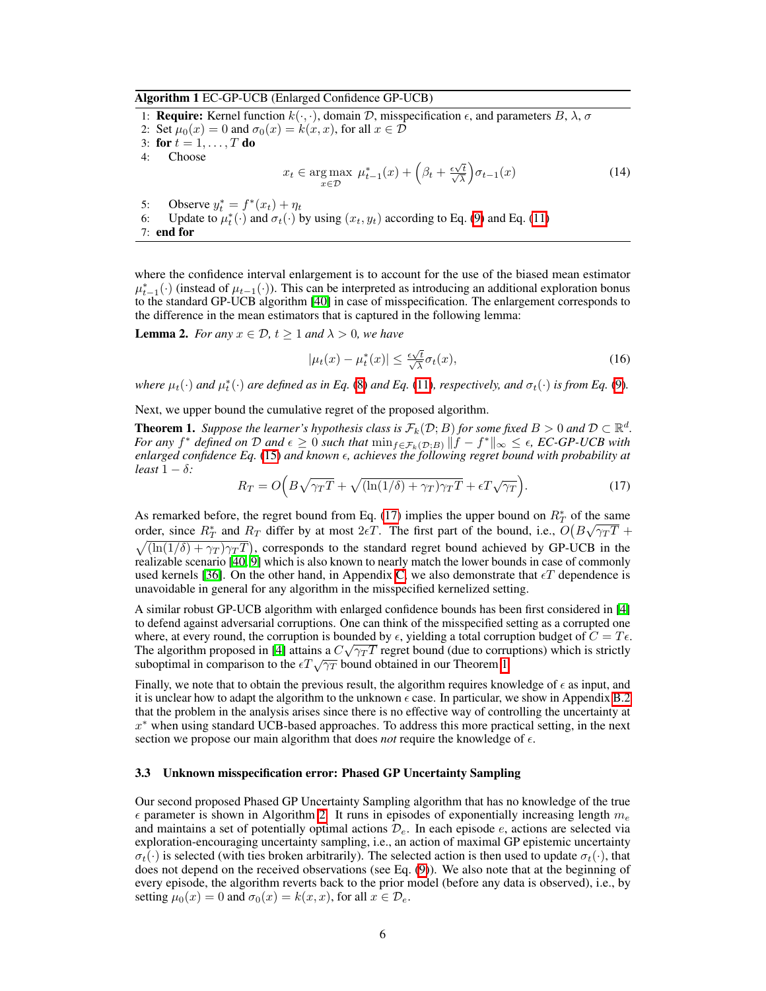Algorithm 1 EC-GP-UCB (Enlarged Confidence GP-UCB)

<span id="page-5-0"></span>1: **Require:** Kernel function  $k(\cdot, \cdot)$ , domain *D*, misspecification  $\epsilon$ , and parameters *B*,  $\lambda$ ,  $\sigma$ 2: Set  $\mu_0(x) = 0$  and  $\sigma_0(x) = k(x, x)$ , for all  $x \in \mathcal{D}$ 3: for  $t = 1, \ldots, T$  do<br>4: Choose Choose  $x_t \in \argmax_{x \in \mathcal{D}} \mu_{t-1}^*(x) + \left(\beta_t + \frac{\epsilon \sqrt{t}}{\sqrt{\lambda}}\right)$  $\sigma_{t-1}(x)$  (14) 5: Observe  $y_t^* = f^*(x_t) + \eta_t$ 6: Update to  $\mu_t^*(\cdot)$  and  $\sigma_t(\cdot)$  by using  $(x_t, y_t)$  according to Eq. [\(9\)](#page-3-3) and Eq. [\(11\)](#page-4-3) 7: end for

where the confidence interval enlargement is to account for the use of the biased mean estimator  $\mu_{t-1}^*(\cdot)$  (instead of  $\mu_{t-1}(\cdot)$ ). This can be interpreted as introducing an additional exploration bonus to the standard GP-UCB algorithm [\[40\]](#page-11-1) in case of misspecification. The enlargement corresponds to the difference in the mean estimators that is captured in the following lemma:

**Lemma 2.** *For any*  $x \in \mathcal{D}$ ,  $t \geq 1$  *and*  $\lambda > 0$ *, we have* 

$$
|\mu_t(x) - \mu_t^*(x)| \le \frac{\epsilon \sqrt{t}}{\sqrt{\lambda}} \sigma_t(x), \tag{16}
$$

*where*  $\mu_t(\cdot)$  *and*  $\mu_t^*(\cdot)$  *are defined as in Eq.* [\(8\)](#page-3-2) *and Eq.* [\(11\)](#page-4-3)*, respectively, and*  $\sigma_t(\cdot)$  *is from Eq.* [\(9\)](#page-3-3)*.* 

Next, we upper bound the cumulative regret of the proposed algorithm.

<span id="page-5-2"></span>**Theorem 1.** *Suppose the learner's hypothesis class is*  $\mathcal{F}_k(\mathcal{D}; B)$  *for some fixed*  $B > 0$  *and*  $\mathcal{D} \subset \mathbb{R}^d$ *. For any*  $f^*$  *defined on*  $D$  *and*  $\epsilon \geq 0$  *such that*  $\min_{f \in \mathcal{F}_k(D;B)} ||f - f^*||_{\infty} \leq \epsilon$ , *EC-GP-UCB with enlarged confidence Eq.*  $(\overline{15})$  *and known*  $\epsilon$ *, achieves the following regret bound with probability at least*  $1 - \delta$ *:* 

<span id="page-5-1"></span>
$$
R_T = O\left(B\sqrt{\gamma_T T} + \sqrt{(\ln(1/\delta) + \gamma_T)\gamma_T T} + \epsilon T \sqrt{\gamma_T}\right).
$$
\n(17)

As remarked before, the regret bound from Eq.  $(17)$  implies the upper bound on  $R^*$  of the same order, since  $R_T^*$  and  $R_T$  differ by at most  $2\epsilon T$ . The first part of the bound, i.e.,  $O(B\sqrt{\gamma_T T} +$  $\sqrt{\left(\ln(1/\delta) + \gamma_T\right)\gamma_T T}$ , corresponds to the standard regret bound achieved by GP-UCB in the realizable scenario  $[40, 9]$  $[40, 9]$  $[40, 9]$  which is also known to nearly match the lower bounds in case of commonly used kernels  $[36]$ . On the other hand, in Appendix  $\overline{C}$ , we also demonstrate that  $\epsilon T$  dependence is unavoidable in general for any algorithm in the misspecified kernelized setting.

A similar robust GP-UCB algorithm with enlarged confidence bounds has been first considered in [\[4\]](#page-9-5) to defend against adversarial corruptions. One can think of the misspecified setting as a corrupted one where, at every round, the corruption is bounded by  $\epsilon$ , yielding a total corruption budget of  $C = T\epsilon$ . The algorithm proposed in  $[4]$  attains a  $C\sqrt{\gamma_T T}$  regret bound (due to corruptions) which is strictly suboptimal in comparison to the  $\epsilon T \sqrt{\gamma_T}$  bound obtained in our Theorem [1.](#page-5-2)

Finally, we note that to obtain the previous result, the algorithm requires knowledge of  $\epsilon$  as input, and it is unclear how to adapt the algorithm to the unknown  $\epsilon$  case. In particular, we show in Appendix  $\boxed{B.2}$ that the problem in the analysis arises since there is no effective way of controlling the uncertainty at  $x^*$  when using standard UCB-based approaches. To address this more practical setting, in the next section we propose our main algorithm that does *not* require the knowledge of  $\epsilon$ .

#### <span id="page-5-3"></span>3.3 Unknown misspecification error: Phased GP Uncertainty Sampling

Our second proposed Phased GP Uncertainty Sampling algorithm that has no knowledge of the true  $\epsilon$  parameter is shown in Algorithm [2.](#page-6-0) It runs in episodes of exponentially increasing length  $m_e$ and maintains a set of potentially optimal actions  $\mathcal{D}_e$ . In each episode *e*, actions are selected via exploration-encouraging uncertainty sampling, i.e., an action of maximal GP epistemic uncertainty  $\sigma_t(\cdot)$  is selected (with ties broken arbitrarily). The selected action is then used to update  $\sigma_t(\cdot)$ , that does not depend on the received observations (see Eq.  $(\overline{9})$ ). We also note that at the beginning of every episode, the algorithm reverts back to the prior model (before any data is observed), i.e., by setting  $\mu_0(x) = 0$  and  $\sigma_0(x) = k(x, x)$ , for all  $x \in \mathcal{D}_e$ .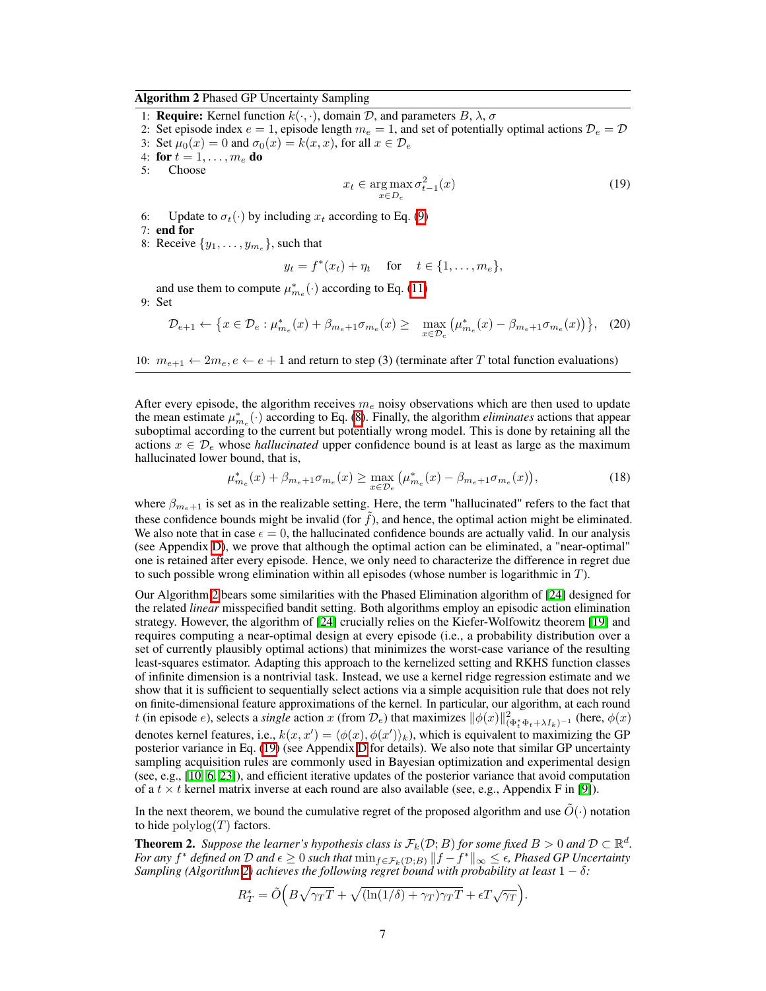#### Algorithm 2 Phased GP Uncertainty Sampling

<span id="page-6-0"></span>1: **Require:** Kernel function  $k(\cdot, \cdot)$ , domain  $D$ , and parameters  $B$ ,  $\lambda$ ,  $\sigma$ 

2: Set episode index  $e = 1$ , episode length  $m_e = 1$ , and set of potentially optimal actions  $\mathcal{D}_e = \mathcal{D}$ 

3: Set  $\mu_0(x) = 0$  and  $\sigma_0(x) = k(x, x)$ , for all  $x \in \mathcal{D}_e$ 

4: **for**  $t = 1, \ldots, m_e$  **do**<br>5: Choose

<span id="page-6-1"></span>Choose

$$
x_t \in \underset{x \in D_e}{\arg \max} \sigma_{t-1}^2(x) \tag{19}
$$

6: Update to  $\sigma_t(\cdot)$  by including  $x_t$  according to Eq. [\(9\)](#page-3-3)

7: end for

8: Receive  $\{y_1, \ldots, y_{m_e}\}$ , such that

$$
y_t = f^*(x_t) + \eta_t
$$
 for  $t \in \{1, ..., m_e\}$ ,

and use them to compute  $\mu_{m_e}^* ( \cdot )$  according to Eq. [\(11\)](#page-4-3)

9: Set

$$
\mathcal{D}_{e+1} \leftarrow \left\{ x \in \mathcal{D}_e : \mu^*_{m_e}(x) + \beta_{m_e+1} \sigma_{m_e}(x) \ge \max_{x \in \mathcal{D}_e} \left( \mu^*_{m_e}(x) - \beta_{m_e+1} \sigma_{m_e}(x) \right) \right\}, \tag{20}
$$

10:  $m_{e+1} \leftarrow 2m_e, e \leftarrow e+1$  and return to step (3) (terminate after *T* total function evaluations)

After every episode, the algorithm receives *m<sup>e</sup>* noisy observations which are then used to update the mean estimate  $\mu_{m_e}^*$  ( $\cdot$ ) according to Eq. [\(8\)](#page-3-2). Finally, the algorithm *eliminates* actions that appear suboptimal according to the current but potentially wrong model. This is done by retaining all the actions  $x \in \mathcal{D}_e$  whose *hallucinated* upper confidence bound is at least as large as the maximum hallucinated lower bound, that is,

$$
\mu_{m_e}^*(x) + \beta_{m_e + 1} \sigma_{m_e}(x) \ge \max_{x \in \mathcal{D}_e} \left( \mu_{m_e}^*(x) - \beta_{m_e + 1} \sigma_{m_e}(x) \right),\tag{18}
$$

where  $\beta_{m_e+1}$  is set as in the realizable setting. Here, the term "hallucinated" refers to the fact that these confidence bounds might be invalid (for  $f$ ), and hence, the optimal action might be eliminated. We also note that in case  $\epsilon = 0$ , the hallucinated confidence bounds are actually valid. In our analysis (see Appendix  $\overline{D}$ ), we prove that although the optimal action can be eliminated, a "near-optimal" one is retained after every episode. Hence, we only need to characterize the difference in regret due to such possible wrong elimination within all episodes (whose number is logarithmic in *T*).

Our Algorithm  $\sqrt{2}$  bears some similarities with the Phased Elimination algorithm of  $\sqrt{24}$  designed for the related *linear* misspecified bandit setting. Both algorithms employ an episodic action elimination strategy. However, the algorithm of  $[24]$  crucially relies on the Kiefer-Wolfowitz theorem  $[19]$  and requires computing a near-optimal design at every episode (i.e., a probability distribution over a set of currently plausibly optimal actions) that minimizes the worst-case variance of the resulting least-squares estimator. Adapting this approach to the kernelized setting and RKHS function classes of infinite dimension is a nontrivial task. Instead, we use a kernel ridge regression estimate and we show that it is sufficient to sequentially select actions via a simple acquisition rule that does not rely on finite-dimensional feature approximations of the kernel. In particular, our algorithm, at each round *t* (in episode *e*), selects a *single* action *x* (from  $\mathcal{D}_e$ ) that maximizes  $\|\phi(x)\|_{(\Phi_t^*\Phi_t + \lambda I_k)^{-1}}^2$  (here,  $\phi(x)$ ) denotes kernel features, i.e.,  $k(x, x') = \langle \phi(x), \phi(x') \rangle_k$ , which is equivalent to maximizing the GP posterior variance in Eq.  $(\overline{19})$  (see Appendix  $\overline{D}$  for details). We also note that similar GP uncertainty sampling acquisition rules are commonly used in Bayesian optimization and experimental design (see, e.g.,  $\overline{100}$ ,  $\overline{6}$ ,  $\overline{23}$ )), and efficient iterative updates of the posterior variance that avoid computation of a  $t \times t$  kernel matrix inverse at each round are also available (see, e.g., Appendix F in  $[9]$ ).

In the next theorem, we bound the cumulative regret of the proposed algorithm and use  $\hat{O}(\cdot)$  notation to hide  $\text{polylog}(T)$  factors.

**Theorem 2.** Suppose the learner's hypothesis class is  $\mathcal{F}_k(\mathcal{D}; B)$  for some fixed  $B > 0$  and  $\mathcal{D} \subset \mathbb{R}^d$ . *For any*  $f^*$  *defined on*  $D$  *and*  $\epsilon \geq 0$  *such that*  $\min_{f \in \mathcal{F}_k(D;B)} ||f - f^*||_{\infty} \leq \epsilon$ , Phased GP Uncertainty *Sampling (Algorithm* [2\)](#page-6-0) achieves the following regret bound with probability at least  $1 - \delta$ :

$$
R_T^* = \tilde{O}\Big(B\sqrt{\gamma_T T} + \sqrt{(\ln(1/\delta) + \gamma_T)\gamma_T T} + \epsilon T \sqrt{\gamma_T}\Big).
$$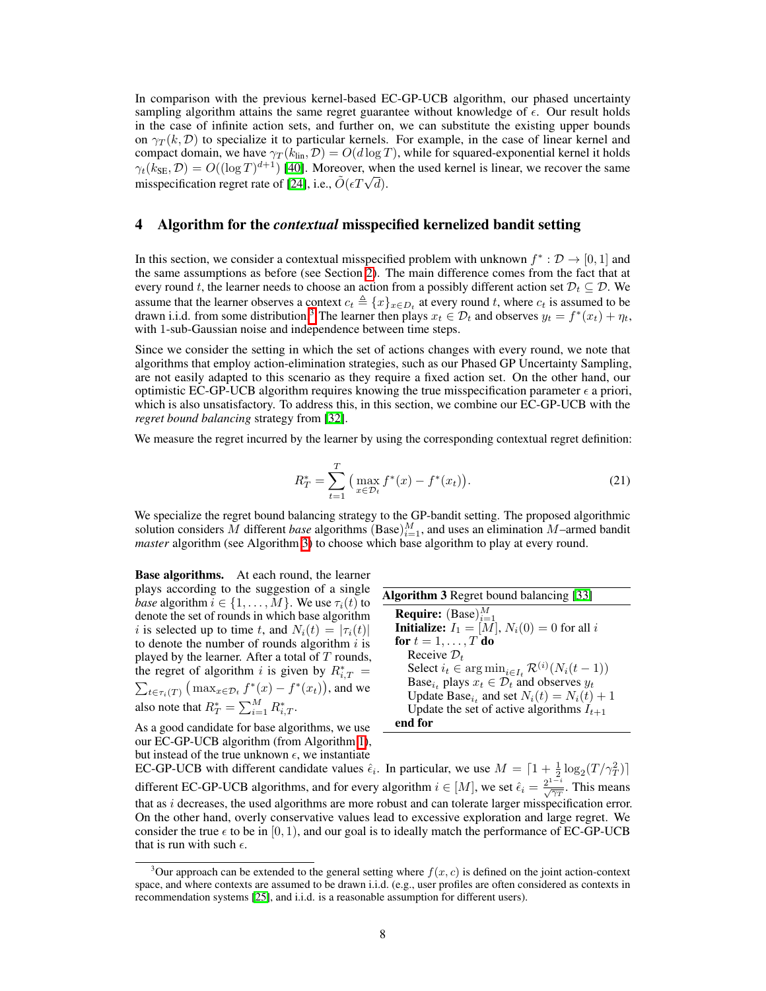In comparison with the previous kernel-based EC-GP-UCB algorithm, our phased uncertainty sampling algorithm attains the same regret guarantee without knowledge of  $\epsilon$ . Our result holds in the case of infinite action sets, and further on, we can substitute the existing upper bounds on  $\gamma_T(k, \mathcal{D})$  to specialize it to particular kernels. For example, in the case of linear kernel and compact domain, we have  $\gamma_T(k_{\text{lin}}, \mathcal{D}) = O(d \log T)$ , while for squared-exponential kernel it holds  $\gamma_t(k_{\text{SE}}, \mathcal{D}) = O((\log T)^{d+1})$  [\[40\]](#page-11-1). Moreover, when the used kernel is linear, we recover the same misspecification regret rate of  $[24]$ , i.e.,  $\tilde{O}(\epsilon T \sqrt{d})$ .

## 4 Algorithm for the *contextual* misspecified kernelized bandit setting

In this section, we consider a contextual misspecified problem with unknown  $f^* : \mathcal{D} \to [0, 1]$  and the same assumptions as before (see Section  $\overline{2}$ ). The main difference comes from the fact that at every round *t*, the learner needs to choose an action from a possibly different action set  $\mathcal{D}_t \subseteq \mathcal{D}$ . We assume that the learner observes a context  $c_t \triangleq \{x\}_{x \in D_t}$  at every round *t*, where  $c_t$  is assumed to be drawn i.i.d. from some distribution.<sup>[3](#page-7-0)</sup> The learner then plays  $x_t \in \mathcal{D}_t$  and observes  $y_t = f^*(x_t) + \eta_t$ , with 1-sub-Gaussian noise and independence between time steps.

Since we consider the setting in which the set of actions changes with every round, we note that algorithms that employ action-elimination strategies, such as our Phased GP Uncertainty Sampling, are not easily adapted to this scenario as they require a fixed action set. On the other hand, our optimistic EC-GP-UCB algorithm requires knowing the true misspecification parameter  $\epsilon$  a priori, which is also unsatisfactory. To address this, in this section, we combine our EC-GP-UCB with the *regret bound balancing* strategy from [\[32\]](#page-10-14).

We measure the regret incurred by the learner by using the corresponding contextual regret definition:

$$
R_T^* = \sum_{t=1}^T \left( \max_{x \in \mathcal{D}_t} f^*(x) - f^*(x_t) \right).
$$
 (21)

We specialize the regret bound balancing strategy to the GP-bandit setting. The proposed algorithmic solution considers  $\tilde{M}$  different *base* algorithms (Base) $_{i=1}^{M}$ , and uses an elimination  $M$ –armed bandit *master* algorithm (see Algorithm  $\overline{3}$ ) to choose which base algorithm to play at every round.

Base algorithms. At each round, the learner plays according to the suggestion of a single *base* algorithm  $i \in \{1, \ldots, M\}$ . We use  $\tau_i(t)$  to denote the set of rounds in which base algorithm *i* is selected up to time *t*, and  $N_i(t) = |\tau_i(t)|$ to denote the number of rounds algorithm *i* is played by the learner. After a total of *T* rounds, the regret of algorithm *i* is given by  $R^*_{i,T}$  = the regret of algorithm *i* is given by  $R_{i,T}^* = \sum_{t \in \tau_i(T)} (\max_{x \in \mathcal{D}_t} f^*(x) - f^*(x_t)),$  and we also note that  $R_T^* = \sum_{i=1}^M R_{i,T}^*$ .

As a good candidate for base algorithms, we use our EC-GP-UCB algorithm (from Algorithm  $\vert \overline{1} \vert$ ),

<span id="page-7-1"></span>

| <b>Algorithm 3</b> Regret bound balancing [33]                             |
|----------------------------------------------------------------------------|
| <b>Require:</b> (Base) $_{i=1}^{M}$                                        |
| <b>Initialize:</b> $I_1 = [M], N_i(0) = 0$ for all i                       |
| for $t = 1, \ldots, T$ do                                                  |
| Receive $\mathcal{D}_t$                                                    |
| Select $i_t \in \arg\min_{i \in I_t} \mathcal{R}^{(i)}(N_i(t-1))$          |
| Base <sub><i>i</i>t</sub> plays $x_t \in \mathcal{D}_t$ and observes $y_t$ |
| Update Base <sub>it</sub> and set $N_i(t) = N_i(t) + 1$                    |
| Update the set of active algorithms $I_{t+1}$                              |
| end for                                                                    |

but instead of the true unknown  $\epsilon$ , we instantiate EC-GP-UCB with different candidate values  $\hat{\epsilon}_i$ . In particular, we use  $M = \left[1 + \frac{1}{2} \log_2(T/\gamma_T^2)\right]$ different EC-GP-UCB algorithms, and for every algorithm  $i \in [M]$ , we set  $\hat{\epsilon}_i = \frac{2^{1-i}}{\sqrt{\gamma_T}}$ . This means that as *i* decreases, the used algorithms are more robust and can tolerate larger misspecification error. On the other hand, overly conservative values lead to excessive exploration and large regret. We consider the true  $\epsilon$  to be in [0, 1), and our goal is to ideally match the performance of EC-GP-UCB that is run with such  $\epsilon$ .

<span id="page-7-0"></span><sup>&</sup>lt;sup>3</sup>Our approach can be extended to the general setting where  $f(x, c)$  is defined on the joint action-context space, and where contexts are assumed to be drawn i.i.d. (e.g., user profiles are often considered as contexts in recommendation systems  $[25]$ , and i.i.d. is a reasonable assumption for different users).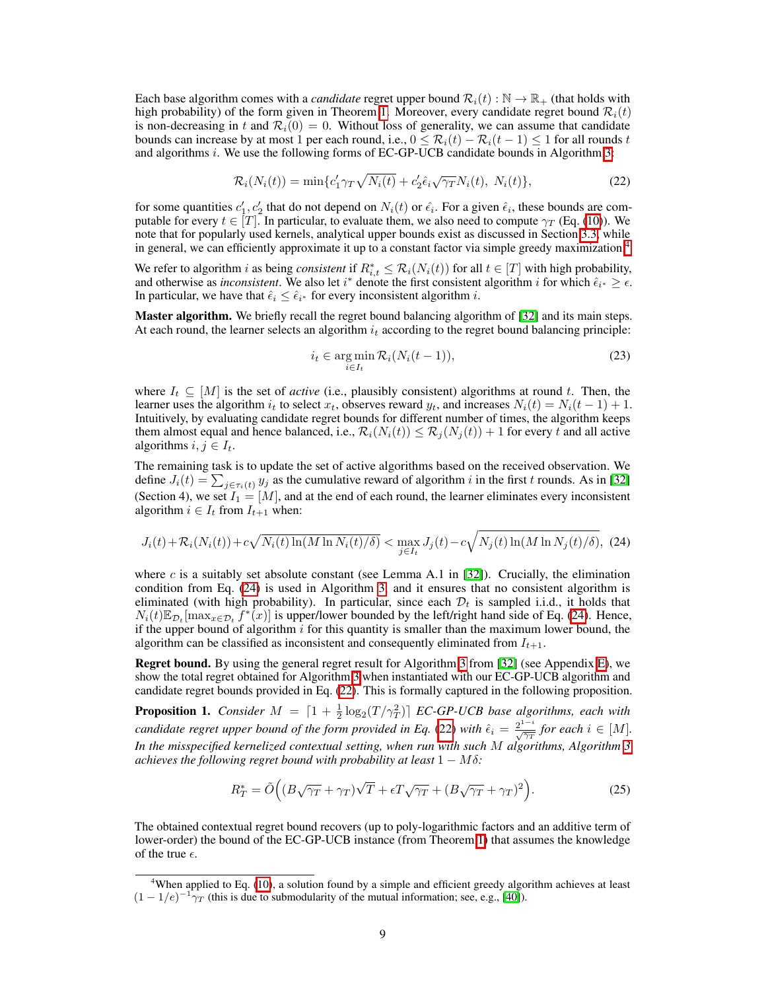Each base algorithm comes with a *candidate* regret upper bound  $\mathcal{R}_i(t): \mathbb{N} \to \mathbb{R}_+$  (that holds with high probability) of the form given in Theorem  $\overline{1}$ . Moreover, every candidate regret bound  $\mathcal{R}_i(t)$ is non-decreasing in *t* and  $\mathcal{R}_i(0) = 0$ . Without loss of generality, we can assume that candidate bounds can increase by at most 1 per each round, i.e.,  $0 \leq \mathcal{R}_i(t) - \mathcal{R}_i(t-1) \leq 1$  for all rounds *t* and algorithms  $i$ . We use the following forms of EC-GP-UCB candidate bounds in Algorithm  $3$ :

$$
\mathcal{R}_i(N_i(t)) = \min\{c'_1\gamma_T\sqrt{N_i(t)} + c'_2\hat{\epsilon}_i\sqrt{\gamma_T}N_i(t), N_i(t)\},\tag{22}
$$

for some quantities  $c'_1, c'_2$  that do not depend on  $N_i(t)$  or  $\hat{\epsilon}_i$ . For a given  $\hat{\epsilon}_i$ , these bounds <u>are</u> computable for every  $t \in [T]$ . In particular, to evaluate them, we also need to compute  $\gamma_T$  (Eq. [\(10\)](#page-4-5)). We note that for popularly used kernels, analytical upper bounds exist as discussed in Section  $\overline{3.3}$ , while in general, we can efficiently approximate it up to a constant factor via simple greedy maximization.<sup>4</sup>

We refer to algorithm *i* as being *consistent* if  $R_{i,t}^* \leq R_i(N_i(t))$  for all  $t \in [T]$  with high probability, and otherwise as *inconsistent*. We also let  $i^*$  denote the first consistent algorithm *i* for which  $\hat{\epsilon}_{i^*} \geq \epsilon$ . In particular, we have that  $\hat{\epsilon}_i \leq \hat{\epsilon}_{i^*}$  for every inconsistent algorithm *i*.

Master algorithm. We briefly recall the regret bound balancing algorithm of [\[32\]](#page-10-14) and its main steps. At each round, the learner selects an algorithm  $i_t$  according to the regret bound balancing principle:

<span id="page-8-2"></span><span id="page-8-1"></span>
$$
i_t \in \underset{i \in I_t}{\arg \min} \mathcal{R}_i(N_i(t-1)),\tag{23}
$$

where  $I_t \subseteq [M]$  is the set of *active* (i.e., plausibly consistent) algorithms at round t. Then, the learner uses the algorithm  $i_t$  to select  $x_t$ , observes reward  $y_t$ , and increases  $N_i(t) = N_i(t-1) + 1$ . Intuitively, by evaluating candidate regret bounds for different number of times, the algorithm keeps them almost equal and hence balanced, i.e.,  $\mathcal{R}_i(N_i(t)) \leq \mathcal{R}_j(N_j(t)) + 1$  for every *t* and all active algorithms  $i, j \in I_t$ .

The remaining task is to update the set of active algorithms based on the received observation. We define  $J_i(t) = \sum_{j \in \tau_i(t)} y_j$  as the cumulative reward of algorithm *i* in the first *t* rounds. As in [\[32\]](#page-10-14) (Section 4), we set  $I_1 = [M]$ , and at the end of each round, the learner eliminates every inconsistent algorithm  $i \in I_t$  from  $I_{t+1}$  when:

$$
J_i(t) + \mathcal{R}_i(N_i(t)) + c\sqrt{N_i(t)\ln(M\ln N_i(t)/\delta)} < \max_{j \in I_t} J_j(t) - c\sqrt{N_j(t)\ln(M\ln N_j(t)/\delta)},
$$
 (24)

where *c* is a suitably set absolute constant (see Lemma A.1 in  $[32]$ ). Crucially, the elimination condition from Eq. ( $\overline{24}$ ) is used in Algorithm  $\overline{3}$ , and it ensures that no consistent algorithm is eliminated (with high probability). In particular, since each  $\mathcal{D}_t$  is sampled i.i.d., it holds that  $N_i(t) \mathbb{E}_{\mathcal{D}_t}[\max_{x \in \mathcal{D}_t} f^*(x)]$  is upper/lower bounded by the left/right hand side of Eq. [\(24\)](#page-8-1). Hence, if the upper bound of algorithm *i* for this quantity is smaller than the maximum lower bound, the algorithm can be classified as inconsistent and consequently eliminated from  $I_{t+1}$ .

**Regret bound.** By using the general regret result for Algorithm  $3$  from  $\boxed{32}$  (see Appendix [E\)](#page-0-5), we show the total regret obtained for Algorithm  $\beta$  when instantiated with our EC-GP-UCB algorithm and candidate regret bounds provided in Eq.  $(22)$ . This is formally captured in the following proposition.

**Proposition 1.** *Consider*  $M = \left[1 + \frac{1}{2}\log_2(T/\gamma_T^2)\right]$  *EC-GP-UCB base algorithms, each with candidate regret upper bound of the form provided in Eq.*  $(22)$  *with*  $\hat{\epsilon}_i = \frac{2^{1-i}}{\sqrt{\gamma_T}}$  for each  $i \in [M]$ . *In the misspecified kernelized contextual setting, when run with such M algorithms, Algorithm [3](#page-7-1) achieves the following regret bound with probability at least*  $1 - M\delta$ :

$$
R_T^* = \tilde{O}\Big( (B\sqrt{\gamma_T} + \gamma_T)\sqrt{T} + \epsilon T \sqrt{\gamma_T} + (B\sqrt{\gamma_T} + \gamma_T)^2 \Big). \tag{25}
$$

The obtained contextual regret bound recovers (up to poly-logarithmic factors and an additive term of lower-order) the bound of the EC-GP-UCB instance (from Theorem  $\overline{1}$ ) that assumes the knowledge of the true  $\epsilon$ .

<span id="page-8-0"></span><sup>&</sup>lt;sup>4</sup>When applied to Eq.  $(10)$ , a solution found by a simple and efficient greedy algorithm achieves at least  $(1 - 1/e)^{-1} \gamma_T$  (this is due to submodularity of the mutual information; see, e.g., [\[40\]](#page-11-1)).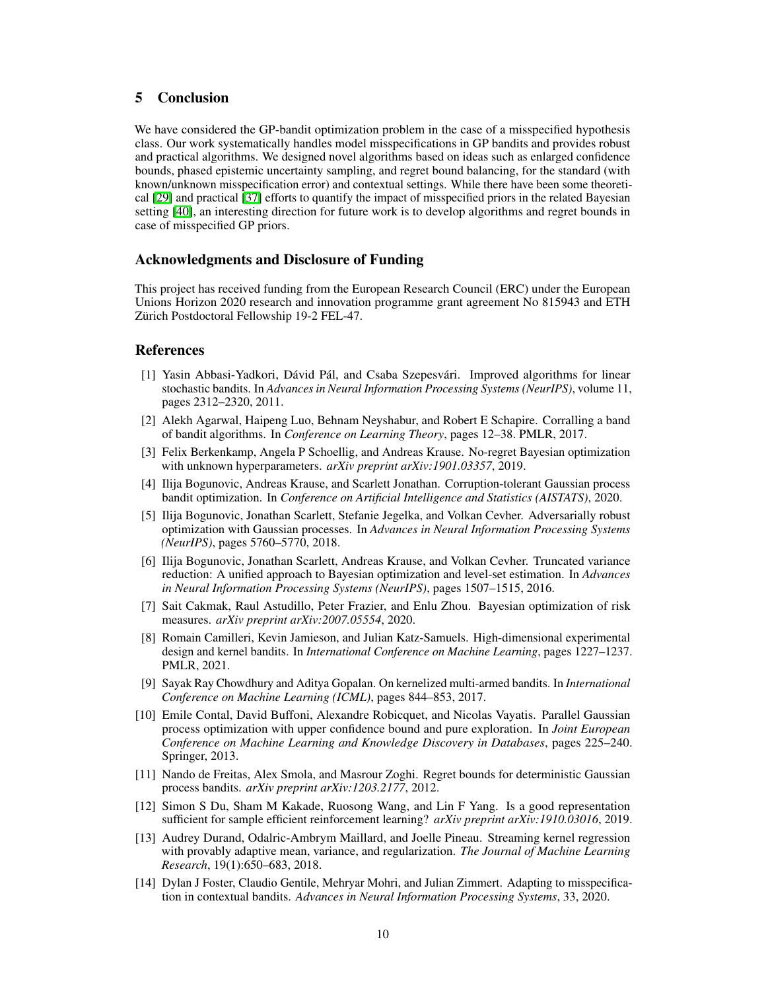# 5 Conclusion

We have considered the GP-bandit optimization problem in the case of a misspecified hypothesis class. Our work systematically handles model misspecifications in GP bandits and provides robust and practical algorithms. We designed novel algorithms based on ideas such as enlarged confidence bounds, phased epistemic uncertainty sampling, and regret bound balancing, for the standard (with known/unknown misspecification error) and contextual settings. While there have been some theoretical [\[29\]](#page-10-20) and practical [\[37\]](#page-11-10) efforts to quantify the impact of misspecified priors in the related Bayesian setting [\[40\]](#page-11-1), an interesting direction for future work is to develop algorithms and regret bounds in case of misspecified GP priors.

## Acknowledgments and Disclosure of Funding

This project has received funding from the European Research Council (ERC) under the European Unions Horizon 2020 research and innovation programme grant agreement No 815943 and ETH Zürich Postdoctoral Fellowship 19-2 FEL-47.

## References

- <span id="page-9-9"></span>[1] Yasin Abbasi-Yadkori, Dávid Pál, and Csaba Szepesvári. Improved algorithms for linear stochastic bandits. In *Advances in Neural Information Processing Systems (NeurIPS)*, volume 11, pages 2312–2320, 2011.
- <span id="page-9-11"></span>[2] Alekh Agarwal, Haipeng Luo, Behnam Neyshabur, and Robert E Schapire. Corralling a band of bandit algorithms. In *Conference on Learning Theory*, pages 12–38. PMLR, 2017.
- <span id="page-9-4"></span>[3] Felix Berkenkamp, Angela P Schoellig, and Andreas Krause. No-regret Bayesian optimization with unknown hyperparameters. *arXiv preprint arXiv:1901.03357*, 2019.
- <span id="page-9-5"></span>[4] Ilija Bogunovic, Andreas Krause, and Scarlett Jonathan. Corruption-tolerant Gaussian process bandit optimization. In *Conference on Artificial Intelligence and Statistics (AISTATS)*, 2020.
- <span id="page-9-6"></span>[5] Ilija Bogunovic, Jonathan Scarlett, Stefanie Jegelka, and Volkan Cevher. Adversarially robust optimization with Gaussian processes. In *Advances in Neural Information Processing Systems (NeurIPS)*, pages 5760–5770, 2018.
- <span id="page-9-3"></span>[6] Ilija Bogunovic, Jonathan Scarlett, Andreas Krause, and Volkan Cevher. Truncated variance reduction: A unified approach to Bayesian optimization and level-set estimation. In *Advances in Neural Information Processing Systems (NeurIPS)*, pages 1507–1515, 2016.
- <span id="page-9-7"></span>[7] Sait Cakmak, Raul Astudillo, Peter Frazier, and Enlu Zhou. Bayesian optimization of risk measures. *arXiv preprint arXiv:2007.05554*, 2020.
- <span id="page-9-12"></span>[8] Romain Camilleri, Kevin Jamieson, and Julian Katz-Samuels. High-dimensional experimental design and kernel bandits. In *International Conference on Machine Learning*, pages 1227–1237. PMLR, 2021.
- <span id="page-9-0"></span>[9] Sayak Ray Chowdhury and Aditya Gopalan. On kernelized multi-armed bandits. In *International Conference on Machine Learning (ICML)*, pages 844–853, 2017.
- <span id="page-9-2"></span>[10] Emile Contal, David Buffoni, Alexandre Robicquet, and Nicolas Vayatis. Parallel Gaussian process optimization with upper confidence bound and pure exploration. In *Joint European Conference on Machine Learning and Knowledge Discovery in Databases*, pages 225–240. Springer, 2013.
- <span id="page-9-1"></span>[11] Nando de Freitas, Alex Smola, and Masrour Zoghi. Regret bounds for deterministic Gaussian process bandits. *arXiv preprint arXiv:1203.2177*, 2012.
- <span id="page-9-8"></span>[12] Simon S Du, Sham M Kakade, Ruosong Wang, and Lin F Yang. Is a good representation sufficient for sample efficient reinforcement learning? *arXiv preprint arXiv:1910.03016*, 2019.
- <span id="page-9-13"></span>[13] Audrey Durand, Odalric-Ambrym Maillard, and Joelle Pineau. Streaming kernel regression with provably adaptive mean, variance, and regularization. *The Journal of Machine Learning Research*, 19(1):650–683, 2018.
- <span id="page-9-10"></span>[14] Dylan J Foster, Claudio Gentile, Mehryar Mohri, and Julian Zimmert. Adapting to misspecification in contextual bandits. *Advances in Neural Information Processing Systems*, 33, 2020.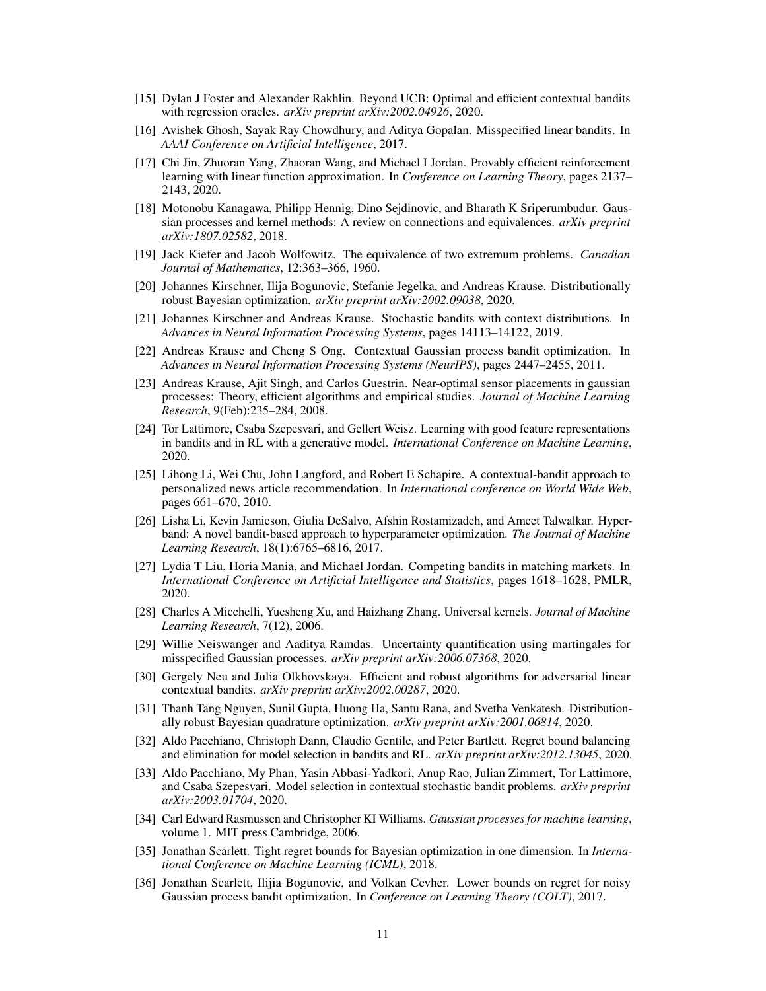- <span id="page-10-11"></span>[15] Dylan J Foster and Alexander Rakhlin. Beyond UCB: Optimal and efficient contextual bandits with regression oracles. *arXiv preprint arXiv:2002.04926*, 2020.
- <span id="page-10-12"></span>[16] Avishek Ghosh, Sayak Ray Chowdhury, and Aditya Gopalan. Misspecified linear bandits. In *AAAI Conference on Artificial Intelligence*, 2017.
- <span id="page-10-8"></span>[17] Chi Jin, Zhuoran Yang, Zhaoran Wang, and Michael I Jordan. Provably efficient reinforcement learning with linear function approximation. In *Conference on Learning Theory*, pages 2137– 2143, 2020.
- <span id="page-10-2"></span>[18] Motonobu Kanagawa, Philipp Hennig, Dino Sejdinovic, and Bharath K Sriperumbudur. Gaussian processes and kernel methods: A review on connections and equivalences. *arXiv preprint arXiv:1807.02582*, 2018.
- <span id="page-10-17"></span>[19] Jack Kiefer and Jacob Wolfowitz. The equivalence of two extremum problems. *Canadian Journal of Mathematics*, 12:363–366, 1960.
- <span id="page-10-6"></span>[20] Johannes Kirschner, Ilija Bogunovic, Stefanie Jegelka, and Andreas Krause. Distributionally robust Bayesian optimization. *arXiv preprint arXiv:2002.09038*, 2020.
- <span id="page-10-5"></span>[21] Johannes Kirschner and Andreas Krause. Stochastic bandits with context distributions. In *Advances in Neural Information Processing Systems*, pages 14113–14122, 2019.
- <span id="page-10-4"></span>[22] Andreas Krause and Cheng S Ong. Contextual Gaussian process bandit optimization. In *Advances in Neural Information Processing Systems (NeurIPS)*, pages 2447–2455, 2011.
- <span id="page-10-18"></span>[23] Andreas Krause, Ajit Singh, and Carlos Guestrin. Near-optimal sensor placements in gaussian processes: Theory, efficient algorithms and empirical studies. *Journal of Machine Learning Research*, 9(Feb):235–284, 2008.
- <span id="page-10-9"></span>[24] Tor Lattimore, Csaba Szepesvari, and Gellert Weisz. Learning with good feature representations in bandits and in RL with a generative model. *International Conference on Machine Learning*, 2020.
- <span id="page-10-19"></span>[25] Lihong Li, Wei Chu, John Langford, and Robert E Schapire. A contextual-bandit approach to personalized news article recommendation. In *International conference on World Wide Web*, pages 661–670, 2010.
- <span id="page-10-1"></span>[26] Lisha Li, Kevin Jamieson, Giulia DeSalvo, Afshin Rostamizadeh, and Ameet Talwalkar. Hyperband: A novel bandit-based approach to hyperparameter optimization. *The Journal of Machine Learning Research*, 18(1):6765–6816, 2017.
- <span id="page-10-0"></span>[27] Lydia T Liu, Horia Mania, and Michael Jordan. Competing bandits in matching markets. In *International Conference on Artificial Intelligence and Statistics*, pages 1618–1628. PMLR, 2020.
- <span id="page-10-15"></span>[28] Charles A Micchelli, Yuesheng Xu, and Haizhang Zhang. Universal kernels. *Journal of Machine Learning Research*, 7(12), 2006.
- <span id="page-10-20"></span>[29] Willie Neiswanger and Aaditya Ramdas. Uncertainty quantification using martingales for misspecified Gaussian processes. *arXiv preprint arXiv:2006.07368*, 2020.
- <span id="page-10-10"></span>[30] Gergely Neu and Julia Olkhovskaya. Efficient and robust algorithms for adversarial linear contextual bandits. *arXiv preprint arXiv:2002.00287*, 2020.
- <span id="page-10-7"></span>[31] Thanh Tang Nguyen, Sunil Gupta, Huong Ha, Santu Rana, and Svetha Venkatesh. Distributionally robust Bayesian quadrature optimization. *arXiv preprint arXiv:2001.06814*, 2020.
- <span id="page-10-14"></span>[32] Aldo Pacchiano, Christoph Dann, Claudio Gentile, and Peter Bartlett. Regret bound balancing and elimination for model selection in bandits and RL. *arXiv preprint arXiv:2012.13045*, 2020.
- <span id="page-10-13"></span>[33] Aldo Pacchiano, My Phan, Yasin Abbasi-Yadkori, Anup Rao, Julian Zimmert, Tor Lattimore, and Csaba Szepesvari. Model selection in contextual stochastic bandit problems. *arXiv preprint arXiv:2003.01704*, 2020.
- [34] Carl Edward Rasmussen and Christopher KI Williams. *Gaussian processes for machine learning*, volume 1. MIT press Cambridge, 2006.
- <span id="page-10-3"></span>[35] Jonathan Scarlett. Tight regret bounds for Bayesian optimization in one dimension. In *International Conference on Machine Learning (ICML)*, 2018.
- <span id="page-10-16"></span>[36] Jonathan Scarlett, Ilijia Bogunovic, and Volkan Cevher. Lower bounds on regret for noisy Gaussian process bandit optimization. In *Conference on Learning Theory (COLT)*, 2017.